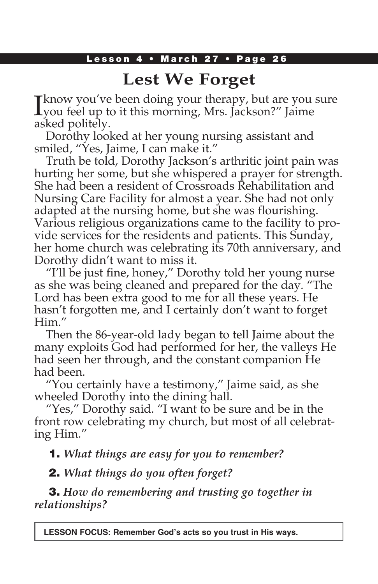#### Lesson 4 • March 27 • Page 26

## **Lest We Forget**

I know you've been doing your therapy, but are you s<br>I you feel up to it this morning, Mrs. Jackson?" Jaime know you've been doing your therapy, but are you sure asked politely.

Dorothy looked at her young nursing assistant and smiled, "Yes, Jaime, I can make it."

Truth be told, Dorothy Jackson's arthritic joint pain was hurting her some, but she whispered a prayer for strength. She had been a resident of Crossroads Rehabilitation and Nursing Care Facility for almost a year. She had not only adapted at the nursing home, but she was flourishing. Various religious organizations came to the facility to provide services for the residents and patients. This Sunday, her home church was celebrating its 70th anniversary, and Dorothy didn't want to miss it.

"I'll be just fine, honey," Dorothy told her young nurse as she was being cleaned and prepared for the day. "The Lord has been extra good to me for all these years. He hasn't forgotten me, and I certainly don't want to forget Him."

Then the 86-year-old lady began to tell Jaime about the many exploits God had performed for her, the valleys He had seen her through, and the constant companion He had been.

"You certainly have a testimony," Jaime said, as she wheeled Dorothy into the dining hall.

"Yes," Dorothy said. "I want to be sure and be in the front row celebrating my church, but most of all celebrating Him."

1. *What things are easy for you to remember?*

2. *What things do you often forget?*

3. *How do remembering and trusting go together in relationships?*

**LESSON FOCUS: Remember God's acts so you trust in His ways.**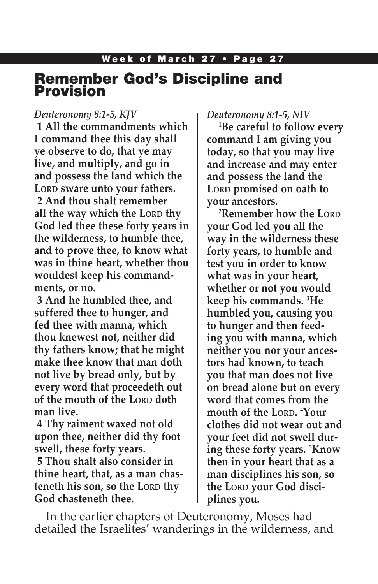## Remember God's Discipline and Provision

#### *Deuteronomy 8:1-5, KJV*

**1 All the commandments which I command thee this day shall ye observe to do, that ye may live, and multiply, and go in and possess the land which the**  LORD sware unto your fathers. **2 And thou shalt remember all the way which the Lord thy God led thee these forty years in the wilderness, to humble thee, and to prove thee, to know what was in thine heart, whether thou wouldest keep his commandments, or no.**

**3 And he humbled thee, and suffered thee to hunger, and fed thee with manna, which thou knewest not, neither did thy fathers know; that he might make thee know that man doth not live by bread only, but by every word that proceedeth out of the mouth of the LORD doth man live.**

**4 Thy raiment waxed not old upon thee, neither did thy foot swell, these forty years.**

**5 Thou shalt also consider in thine heart, that, as a man chasteneth his son, so the LORD thy God chasteneth thee.**

*Deuteronomy 8:1-5, NIV*

**1 Be careful to follow every command I am giving you today, so that you may live and increase and may enter and possess the land the**  LORD promised on oath to **your ancestors.** 

**2 Remember how the Lord your God led you all the way in the wilderness these forty years, to humble and test you in order to know what was in your heart, whether or not you would keep his commands. 3 He humbled you, causing you to hunger and then feeding you with manna, which neither you nor your ancestors had known, to teach you that man does not live on bread alone but on every word that comes from the mouth of the Lord. 4 Your clothes did not wear out and your feet did not swell during these forty years. 5 Know then in your heart that as a man disciplines his son, so the Lord your God disciplines you.**

In the earlier chapters of Deuteronomy, Moses had detailed the Israelites' wanderings in the wilderness, and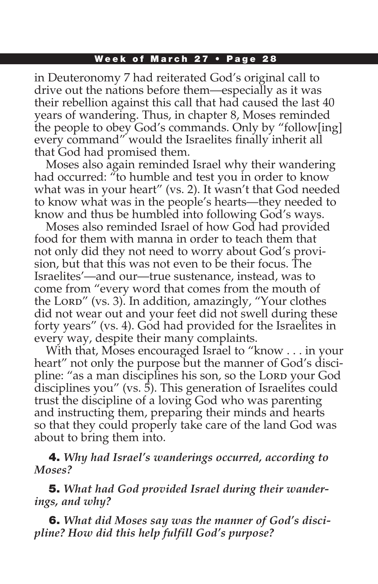#### Week of March 27 • Page 28

in Deuteronomy 7 had reiterated God's original call to drive out the nations before them—especially as it was their rebellion against this call that had caused the last 40 years of wandering. Thus, in chapter 8, Moses reminded the people to obey God's commands. Only by "follow[ing] every command" would the Israelites finally inherit all that God had promised them.

Moses also again reminded Israel why their wandering had occurred: "to humble and test you in order to know what was in your heart" (vs. 2). It wasn't that God needed to know what was in the people's hearts—they needed to know and thus be humbled into following God's ways.

Moses also reminded Israel of how God had provided food for them with manna in order to teach them that not only did they not need to worry about God's provision, but that this was not even to be their focus. The Israelites'—and our—true sustenance, instead, was to come from "every word that comes from the mouth of the Lord" (vs. 3). In addition, amazingly, "Your clothes did not wear out and your feet did not swell during these forty years" (vs. 4). God had provided for the Israelites in every way, despite their many complaints.

With that, Moses encouraged Israel to "know . . . in your heart" not only the purpose but the manner of God's discipline: "as a man disciplines his son, so the Lorp your God disciplines you" (vs. 5). This generation of Israelites could trust the discipline of a loving God who was parenting and instructing them, preparing their minds and hearts so that they could properly take care of the land God was about to bring them into.

4. *Why had Israel's wanderings occurred, according to Moses?*

5. *What had God provided Israel during their wanderings, and why?*

6. *What did Moses say was the manner of God's discipline? How did this help fulfill God's purpose?*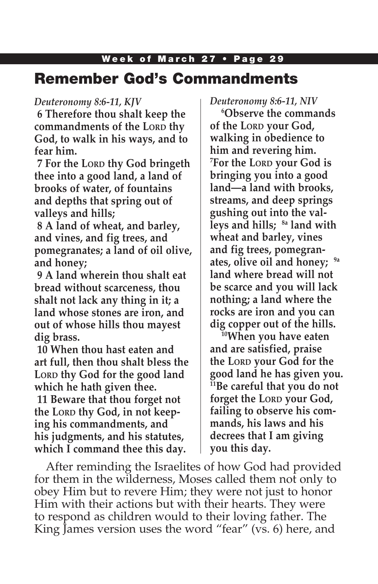### Week of March 27 • Page 29 Remember God's Commandments

#### *Deuteronomy 8:6-11, KJV*

**6 Therefore thou shalt keep the**   $commandments of the LORD thy$ **God, to walk in his ways, and to fear him.**

**7 For the Lord thy God bringeth thee into a good land, a land of brooks of water, of fountains and depths that spring out of valleys and hills;**

**8 A land of wheat, and barley, and vines, and fig trees, and pomegranates; a land of oil olive, and honey;**

**9 A land wherein thou shalt eat bread without scarceness, thou shalt not lack any thing in it; a land whose stones are iron, and out of whose hills thou mayest dig brass.**

**10 When thou hast eaten and art full, then thou shalt bless the**  LORD thy God for the good land **which he hath given thee. 11 Beware that thou forget not the Lord thy God, in not keeping his commandments, and his judgments, and his statutes, which I command thee this day.**

*Deuteronomy 8:6-11, NIV*

**6 Observe the commands of the Lord your God, walking in obedience to him and revering him. 7 For the Lord your God is bringing you into a good land—a land with brooks, streams, and deep springs gushing out into the valleys and hills; 8a land with wheat and barley, vines and fig trees, pomegranates, olive oil and honey; 9a land where bread will not be scarce and you will lack nothing; a land where the rocks are iron and you can dig copper out of the hills.**

**10When you have eaten and are satisfied, praise the Lord your God for the good land he has given you. 11Be careful that you do not forget the LORD your God, failing to observe his commands, his laws and his decrees that I am giving you this day.**

After reminding the Israelites of how God had provided for them in the wilderness, Moses called them not only to obey Him but to revere Him; they were not just to honor Him with their actions but with their hearts. They were to respond as children would to their loving father. The King James version uses the word "fear" (vs. 6) here, and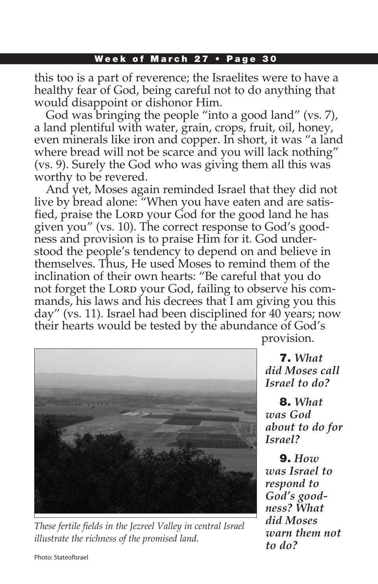#### Week of March 27 • Page 30

this too is a part of reverence; the Israelites were to have a healthy fear of God, being careful not to do anything that would disappoint or dishonor Him.

God was bringing the people "into a good land" (vs. 7), a land plentiful with water, grain, crops, fruit, oil, honey, even minerals like iron and copper. In short, it was "a land where bread will not be scarce and you will lack nothing" (vs. 9). Surely the God who was giving them all this was worthy to be revered.

And yet, Moses again reminded Israel that they did not live by bread alone: "When you have eaten and are satisfied, praise the Lorp your God for the good land he has given you" (vs. 10). The correct response to God's goodness and provision is to praise Him for it. God understood the people's tendency to depend on and believe in themselves. Thus, He used Moses to remind them of the inclination of their own hearts: "Be careful that you do not forget the Lorp your God, failing to observe his commands, his laws and his decrees that I am giving you this day" (vs. 11). Israel had been disciplined for 40 years; now their hearts would be tested by the abundance of God's provision.



*These fertile fields in the Jezreel Valley in central Israel illustrate the richness of the promised land.*

7. *What did Moses call Israel to do?*

8. *What was God about to do for Israel?*

9. *How was Israel to respond to God's goodness? What did Moses warn them not to do?*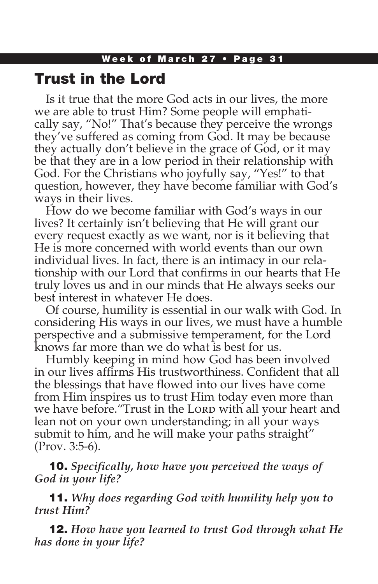### Trust in the Lord

Is it true that the more God acts in our lives, the more we are able to trust Him? Some people will emphatically say, "No!" That's because they perceive the wrongs they've suffered as coming from God. It may be because they actually don't believe in the grace of God, or it may be that they are in a low period in their relationship with God. For the Christians who joyfully say, "Yes!" to that question, however, they have become familiar with God's ways in their lives.

How do we become familiar with God's ways in our lives? It certainly isn't believing that He will grant our every request exactly as we want, nor is it believing that He is more concerned with world events than our own individual lives. In fact, there is an intimacy in our relationship with our Lord that confirms in our hearts that He truly loves us and in our minds that He always seeks our best interest in whatever He does.

Of course, humility is essential in our walk with God. In considering His ways in our lives, we must have a humble perspective and a submissive temperament, for the Lord knows far more than we do what is best for us.

Humbly keeping in mind how God has been involved in our lives affirms His trustworthiness. Confident that all the blessings that have flowed into our lives have come from Him inspires us to trust Him today even more than we have before. "Trust in the Lorp with all your heart and lean not on your own understanding; in all your ways submit to him, and he will make your paths straight" (Prov. 3:5-6).

10. *Specifically, how have you perceived the ways of God in your life?*

11. *Why does regarding God with humility help you to trust Him?*

12. *How have you learned to trust God through what He has done in your life?*